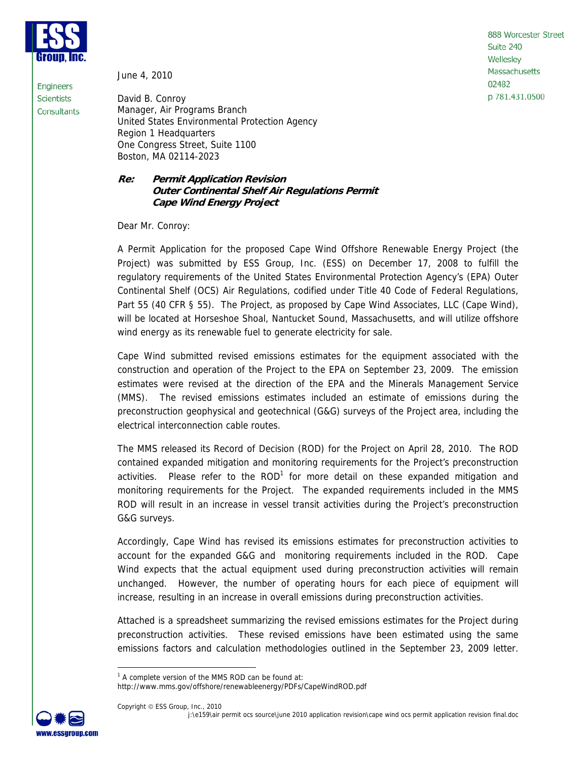

**Engineers** 

**Scientists** Consultants June 4, 2010

888 Worcester Street Suite 240 Wellesley Massachusetts 02482 p 781.431.0500

David B. Conroy Manager, Air Programs Branch United States Environmental Protection Agency Region 1 Headquarters One Congress Street, Suite 1100 Boston, MA 02114-2023

## **Re: Permit Application Revision Outer Continental Shelf Air Regulations Permit Cape Wind Energy Project**

Dear Mr. Conroy:

A Permit Application for the proposed Cape Wind Offshore Renewable Energy Project (the Project) was submitted by ESS Group, Inc. (ESS) on December 17, 2008 to fulfill the regulatory requirements of the United States Environmental Protection Agency's (EPA) Outer Continental Shelf (OCS) Air Regulations, codified under Title 40 Code of Federal Regulations, Part 55 (40 CFR § 55). The Project, as proposed by Cape Wind Associates, LLC (Cape Wind), will be located at Horseshoe Shoal, Nantucket Sound, Massachusetts, and will utilize offshore wind energy as its renewable fuel to generate electricity for sale.

Cape Wind submitted revised emissions estimates for the equipment associated with the construction and operation of the Project to the EPA on September 23, 2009. The emission estimates were revised at the direction of the EPA and the Minerals Management Service (MMS). The revised emissions estimates included an estimate of emissions during the preconstruction geophysical and geotechnical (G&G) surveys of the Project area, including the electrical interconnection cable routes.

The MMS released its Record of Decision (ROD) for the Project on April 28, 2010. The ROD contained expanded mitigation and monitoring requirements for the Project's preconstruction activities. Please refer to the ROD<sup>1</sup> for more detail on these expanded mitigation and monitoring requirements for the Project. The expanded requirements included in the MMS ROD will result in an increase in vessel transit activities during the Project's preconstruction G&G surveys.

Accordingly, Cape Wind has revised its emissions estimates for preconstruction activities to account for the expanded G&G and monitoring requirements included in the ROD. Cape Wind expects that the actual equipment used during preconstruction activities will remain unchanged. However, the number of operating hours for each piece of equipment will increase, resulting in an increase in overall emissions during preconstruction activities.

Attached is a spreadsheet summarizing the revised emissions estimates for the Project during preconstruction activities. These revised emissions have been estimated using the same emissions factors and calculation methodologies outlined in the September 23, 2009 letter.

http://www.mms.gov/offshore/renewableenergy/PDFs/CapeWindROD.pdf



<sup>&</sup>lt;sup>1</sup> A complete version of the MMS ROD can be found at: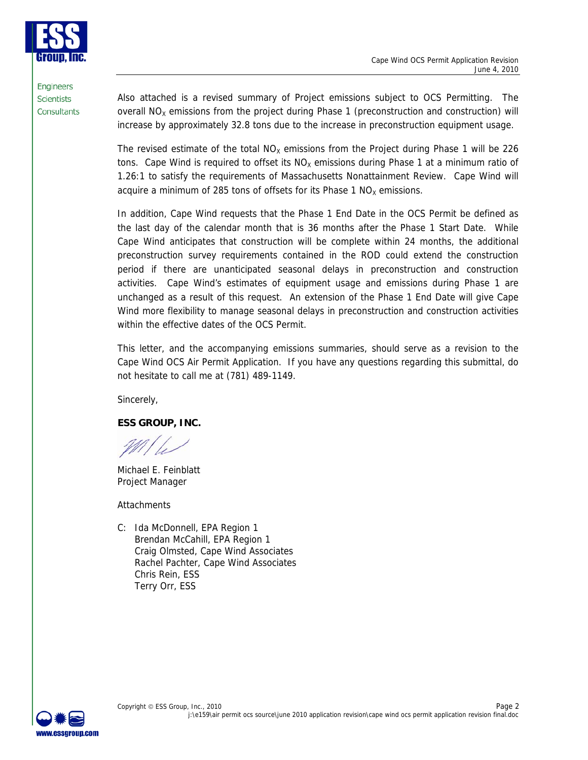

**Engineers Scientists** Consultants

Also attached is a revised summary of Project emissions subject to OCS Permitting. The overall  $NO<sub>x</sub>$  emissions from the project during Phase 1 (preconstruction and construction) will increase by approximately 32.8 tons due to the increase in preconstruction equipment usage.

The revised estimate of the total  $NO<sub>x</sub>$  emissions from the Project during Phase 1 will be 226 tons. Cape Wind is required to offset its  $NO<sub>X</sub>$  emissions during Phase 1 at a minimum ratio of 1.26:1 to satisfy the requirements of Massachusetts Nonattainment Review. Cape Wind will acquire a minimum of 285 tons of offsets for its Phase 1  $NO<sub>x</sub>$  emissions.

In addition, Cape Wind requests that the Phase 1 End Date in the OCS Permit be defined as the last day of the calendar month that is 36 months after the Phase 1 Start Date. While Cape Wind anticipates that construction will be complete within 24 months, the additional preconstruction survey requirements contained in the ROD could extend the construction period if there are unanticipated seasonal delays in preconstruction and construction activities. Cape Wind's estimates of equipment usage and emissions during Phase 1 are unchanged as a result of this request. An extension of the Phase 1 End Date will give Cape Wind more flexibility to manage seasonal delays in preconstruction and construction activities within the effective dates of the OCS Permit.

This letter, and the accompanying emissions summaries, should serve as a revision to the Cape Wind OCS Air Permit Application. If you have any questions regarding this submittal, do not hesitate to call me at (781) 489-1149.

Sincerely,

# **ESS GROUP, INC.**

Michael E. Feinblatt Project Manager

**Attachments** 

C: Ida McDonnell, EPA Region 1 Brendan McCahill, EPA Region 1 Craig Olmsted, Cape Wind Associates Rachel Pachter, Cape Wind Associates Chris Rein, ESS Terry Orr, ESS

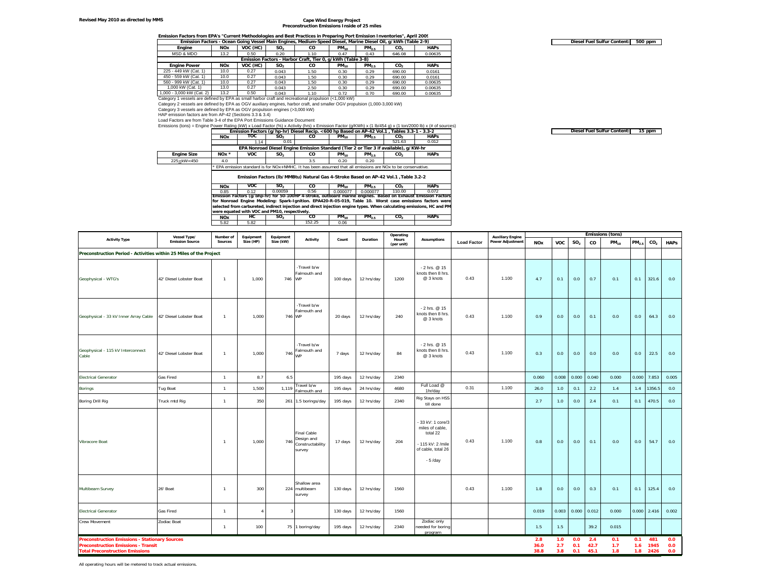#### **Revised May 2010 as directed by MMS**

## **Cape Wind Energy Project Preconstruction Emissions Inside of 25 miles**

### **Emission Factors from EPA's "Current Methodologies and Best Practices in Preparing Port Emission Inventories", April 2009**

|                                                                                                     |            |          |                 | Emission Factors - Ocean Going Vessel Main Engines, Medium-Speed Diesel, Marine Diesel Oil, g/kWh (Table 2-9) |           |            |                 |             |
|-----------------------------------------------------------------------------------------------------|------------|----------|-----------------|---------------------------------------------------------------------------------------------------------------|-----------|------------|-----------------|-------------|
| Engine                                                                                              | <b>NOx</b> | VOC (HC) | SO <sub>2</sub> | CO.                                                                                                           | $PM_{10}$ | $PM_{2.5}$ | CO <sub>2</sub> | <b>HAPs</b> |
| MSD & MDO                                                                                           | 13.2       | 0.50     | 0.20            | 1.10                                                                                                          | 0.47      | 0.43       | 646.08          | 0.00635     |
|                                                                                                     |            |          |                 | Emission Factors - Harbor Craft, Tier 0, q/kWh (Table 3-8)                                                    |           |            |                 |             |
| <b>Engine Power</b>                                                                                 | <b>NOx</b> | VOC (HC) | SO <sub>2</sub> | CO.                                                                                                           | $PM_{10}$ | $PM_{2.5}$ | CO <sub>2</sub> | <b>HAPs</b> |
| 225 - 449 kW (Cat. 1)                                                                               | 10.0       | 0.27     | 0.043           | 1.50                                                                                                          | 0.30      | 0.29       | 690.00          | 0.0161      |
| 450 - 559 kW (Cat. 1)                                                                               | 10.0       | 0.27     | 0.043           | 1.50                                                                                                          | 0.30      | 0.29       | 690.00          | 0.0161      |
| 560 - 999 kW (Cat. 1)                                                                               | 10.0       | 0.27     | 0.043           | 1.50                                                                                                          | 0.30      | 0.29       | 690.00          | 0.00635     |
| 1.000 kW (Cat. 1)                                                                                   | 13.0       | 0.27     | 0.043           | 2.50                                                                                                          | 0.30      | 0.29       | 690.00          | 0.00635     |
| 1.000 - 3.000 kW (Cat. 2)                                                                           | 13.2       | 0.50     | 0.043           | 1.10                                                                                                          | 0.72      | 0.70       | 690.00          | 0.00635     |
| Category 1 yessels are defined by EPA as small harbor craft and recreational propulsion (<1.000 kW) |            |          |                 |                                                                                                               |           |            |                 |             |

Category 2 vessels are defined by EPA as OGV auxiliary engines, harbor craft, and smaller OGV propulsion (1,000-3,000 kW)

Category 3 vessels are defined by EPA as OGV propulsion engines (>3,000 kW)

HAP emission factors are from AP-42 (Sections 3.3 & 3.4) Load Factors are from Table 3-4 of the EPA Port Emissions Guidance Document

Emissions (tons) = Engine Power Rating (kW) x Load Factor (%) x Activity (hrs) x Emission Factor (g/KWh) x (1 lb/454 g) x (1 ton/2000 lb) x (# of sources)<br>
Emission Factors (g/hp-hr) Diesel Recip. <600 hp Based on AP-42 Vo

|                                                                                                                     | Emission Factors (grilp-in) Dicscritectip. < 000 hip Dasca on AP-42 Yor. F, Tables 3.3-T - 3.3-2            |            |                                                                                      |                 |           |            |                 |             |  |  |  |
|---------------------------------------------------------------------------------------------------------------------|-------------------------------------------------------------------------------------------------------------|------------|--------------------------------------------------------------------------------------|-----------------|-----------|------------|-----------------|-------------|--|--|--|
|                                                                                                                     | <b>NOx</b>                                                                                                  | тос        | SO <sub>2</sub>                                                                      | $PM_{10}$<br>co |           | $PM_{2.5}$ | CO.             | <b>HAPs</b> |  |  |  |
|                                                                                                                     |                                                                                                             | 1.14       | 0.01                                                                                 |                 |           |            | 521.63          | 0.012       |  |  |  |
|                                                                                                                     |                                                                                                             |            | EPA Nonroad Diesel Engine Emission Standard (Tier 2 or Tier 3 if available), g/KW-hr |                 |           |            |                 |             |  |  |  |
| <b>Engine Size</b>                                                                                                  | $NOx *$                                                                                                     | <b>VOC</b> | SO <sub>2</sub>                                                                      | co              | $PM_{10}$ | $PM_{2.5}$ | CO <sub>2</sub> | <b>HAPs</b> |  |  |  |
| 225 <kw<450< th=""><th>4.0</th><th></th><th></th><th>3.5</th><th>0.20</th><th>0.20</th><th></th><th></th></kw<450<> | 4.0                                                                                                         |            |                                                                                      | 3.5             | 0.20      | 0.20       |                 |             |  |  |  |
|                                                                                                                     | * EPA emission standard is for NOx+NMHC. It has been assumed that all emissions are NOx to be conservative. |            |                                                                                      |                 |           |            |                 |             |  |  |  |

**Emission Factors (lb/MMBtu) Natural Gas 4-Stroke Based on AP-42 Vol.1 ,Table 3.2-2**

**NOx VOC SO2 CO PM10 PM2.5 CO2 HAPs** 0.85 0.12 0.00059 0.56 0.000077 0.000077 110.00 0.072 Emission Factors (g/bhp-hr) for 50-100HP 4-stroke, outboard marine engines. Based on Exhaust Emission Factors<br>for Nonroad Engine Modeling: Spark-Ignition. EPA420-R-05-019, Table 10. Worst case emissions factors were selected from carbureted, indirect injection and direct injection engine types. When calculating emissions, HC and PM **were equated with VOC and PM10, respectively.**

**NOx HC SO2 CO PM10 PM2.5 CO2 HAPs** 5.82 5.82 152.25 0.06

|                                                                                                                                               | Vessel Type/            | Number of      | Equipment          | Equipment |                                                                |          |            | Operating           |                                                                                                        |                    | <b>Auxiliary Engine</b> |                     |                   |                   |                     | <b>Emissions (tons)</b> |                   |                             |                   |
|-----------------------------------------------------------------------------------------------------------------------------------------------|-------------------------|----------------|--------------------|-----------|----------------------------------------------------------------|----------|------------|---------------------|--------------------------------------------------------------------------------------------------------|--------------------|-------------------------|---------------------|-------------------|-------------------|---------------------|-------------------------|-------------------|-----------------------------|-------------------|
| <b>Activity Type</b>                                                                                                                          | <b>Emission Source</b>  | Sources        | Size (HP)          | Size (kW) | Activity                                                       | Count    | Duration   | Hours<br>(per unit) | <b>Assumptions</b>                                                                                     | <b>Load Factor</b> | <b>Power Adjustment</b> | <b>NOx</b>          | <b>VOC</b>        | SO <sub>2</sub>   | co                  | $PM_{10}$               | PM <sub>2.5</sub> | CO <sub>2</sub>             | <b>HAPs</b>       |
| Preconstruction Period - Activities within 25 Miles of the Project                                                                            |                         |                |                    |           |                                                                |          |            |                     |                                                                                                        |                    |                         |                     |                   |                   |                     |                         |                   |                             |                   |
| Geophysical - WTG's                                                                                                                           | 42' Diesel Lobster Boat | $\overline{1}$ | 1,000              | 746       | -Travel b/w<br>Falmouth and<br>WP                              | 100 days | 12 hrs/day | 1200                | - 2 hrs. @ 15<br>knots then 8 hrs.<br>@ 3 knots                                                        | 0.43               | 1.100                   | 4.7                 | 0.1               | 0.0               | 0.7                 | 0.1                     | 0.1               | 321.6                       | 0.0               |
| Geophysical - 33 kV Inner Array Cable                                                                                                         | 42' Diesel Lobster Boat | $\overline{1}$ | 1.000              | 746 WP    | -Travel b/w<br>Falmouth and                                    | 20 days  | 12 hrs/day | 240                 | - 2 hrs. @ 15<br>knots then 8 hrs.<br>@ 3 knots                                                        | 0.43               | 1.100                   | 0.9                 | 0.0               | 0.0               | 0.1                 | 0.0                     | 0.0               | 64.3                        | 0.0               |
| Geophysical - 115 kV Interconnect<br>Cable                                                                                                    | 42' Diesel Lobster Boat | $\overline{1}$ | 1,000              | 746       | -Travel b/w<br>Falmouth and<br><b>WP</b>                       | 7 days   | 12 hrs/day | 84                  | - 2 hrs. @ 15<br>knots then 8 hrs.<br>@ 3 knots                                                        | 0.43               | 1.100                   | 0.3                 | 0.0               | 0.0               | 0.0                 | 0.0                     | 0.0               | 22.5                        | 0.0               |
| <b>Electrical Generator</b>                                                                                                                   | Gas Fired               | $\overline{1}$ | 8.7                | 6.5       |                                                                | 195 days | 12 hrs/day | 2340                |                                                                                                        |                    |                         | 0.060               | 0.008             | 0.000             | 0.040               | 0.000                   | 0.000             | 7.853                       | 0.005             |
| <b>Borings</b>                                                                                                                                | Tug Boat                | $\overline{1}$ | 1,500              | 1,119     | Travel b/w<br>Falmouth and                                     | 195 days | 24 hrs/day | 4680                | Full Load @<br>1hr/day                                                                                 | 0.31               | 1.100                   | 26.0                | 1.0               | 0.1               | 2.2                 | 1.4                     | 1.4               | 1356.5                      | 0.0               |
| Boring Drill Rig                                                                                                                              | Truck mtd Rig           | $\mathbf{1}$   | 350                |           | 261 1.5 borings/day                                            | 195 days | 12 hrs/day | 2340                | Rig Stays on HSS<br>till done                                                                          |                    |                         | 2.7                 | $1.0$             | 0.0               | 2.4                 | 0.1                     | 0.1               | 470.5                       | 0.0               |
| Vibracore Boat                                                                                                                                |                         | $\overline{1}$ | 1,000              | 746       | <b>Final Cable</b><br>Design and<br>Constructability<br>survey | 17 days  | 12 hrs/day | 204                 | 33 kV: 1 core/3<br>miles of cable,<br>total 22<br>- 115 kV: 2 /mile<br>of cable, total 26<br>$-5$ /day | 0.43               | 1.100                   | 0.8                 | 0.0               | 0.0               | 0.1                 | 0.0                     | 0.0               | 54.7                        | 0.0               |
| Multibeam Survey                                                                                                                              | 26' Boat                | $\overline{1}$ | 300                |           | Shallow area<br>224 multibeam<br>survey                        | 130 days | 12 hrs/day | 1560                |                                                                                                        | 0.43               | 1.100                   | 1.8                 | 0.0               | 0.0               | 0.3                 | 0.1                     | 0.1               | 125.4                       | 0.0               |
| <b>Electrical Generator</b>                                                                                                                   | Gas Fired               | $\overline{1}$ | $\mathbf{\Lambda}$ | 3         |                                                                | 130 days | 12 hrs/day | 1560                |                                                                                                        |                    |                         | 0.019               | 0.003             | 0.000             | 0.012               | 0.000                   | 0.000             | 2.416                       | 0.002             |
| <b>Crew Movement</b>                                                                                                                          | Zodiac Boat             | $\overline{1}$ | 100                |           | 75 1 boring/day                                                | 195 days | 12 hrs/day | 2340                | Zodiac only<br>needed for boring<br>program                                                            |                    |                         | 1.5                 | 1.5               |                   | 39.2                | 0.015                   |                   |                             |                   |
| <b>Preconstruction Emissions - Stationary Sources</b><br><b>Preconstruction Emissions - Transit</b><br><b>Total Preconstruction Emissions</b> |                         |                |                    |           |                                                                |          |            |                     |                                                                                                        |                    |                         | 2.8<br>36.0<br>38.8 | 1.0<br>2.7<br>3.8 | 0.0<br>0.1<br>0.1 | 2.4<br>42.7<br>45.1 | 0.1<br>1.7<br>1.8       | 0.1               | 481<br>1.6 1945<br>1.8 2426 | 0.0<br>0.0<br>0.0 |

**500 ppm Diesel Fuel Sulfur Content:**

**Diesel Fuel Sulfur Content: 15 ppm** 

All operating hours will be metered to track actual emissions.